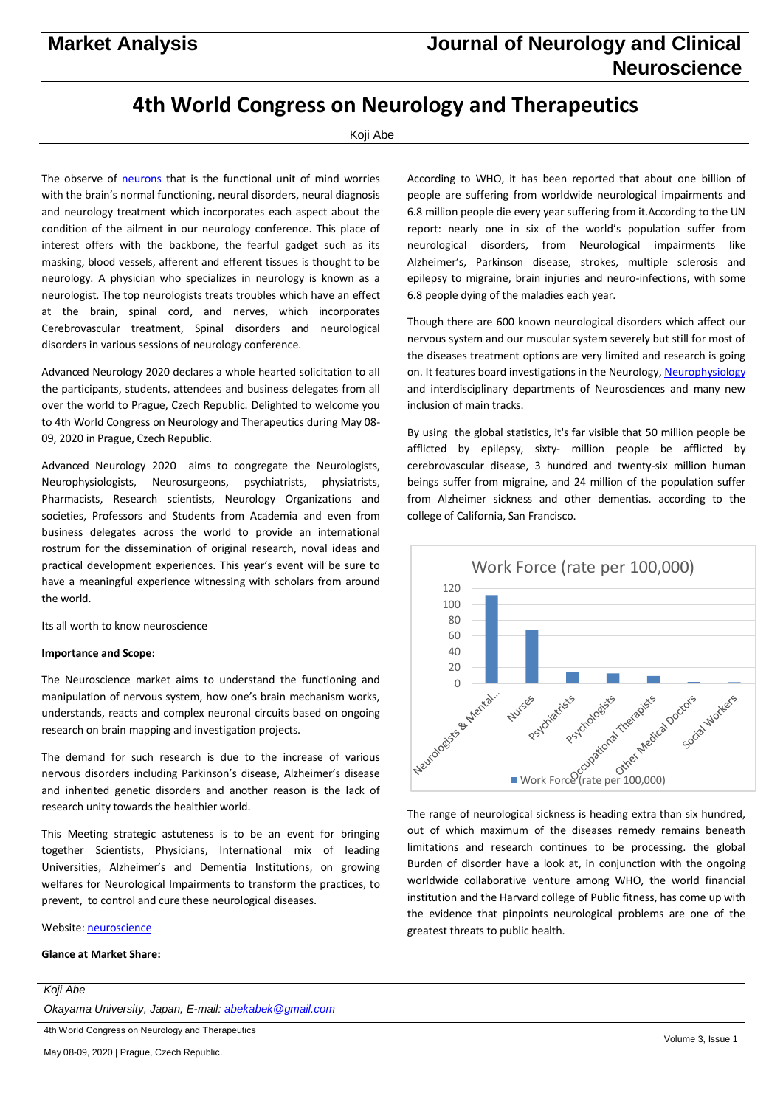# **4th World Congress on Neurology and Therapeutics**

### Koji Abe

The observe of [neurons](https://neurology.pulsusconference.com/) that is the functional unit of mind worries with the brain's normal functioning, neural disorders, neural diagnosis and neurology treatment which incorporates each aspect about the condition of the ailment in our neurology conference. This place of interest offers with the backbone, the fearful gadget such as its masking, blood vessels, afferent and efferent tissues is thought to be neurology. A physician who specializes in neurology is known as a neurologist. The top neurologists treats troubles which have an effect at the brain, spinal cord, and nerves, which incorporates Cerebrovascular treatment, Spinal disorders and neurological disorders in various sessions of neurology conference.

Advanced Neurology 2020 declares a whole hearted solicitation to all the participants, students, attendees and business delegates from all over the world to Prague, Czech Republic. Delighted to welcome you to 4th World Congress on Neurology and Therapeutics during May 08- 09, 2020 in Prague, Czech Republic.

Advanced Neurology 2020 aims to congregate the Neurologists, Neurophysiologists, Neurosurgeons, psychiatrists, physiatrists, Pharmacists, Research scientists, Neurology Organizations and societies, Professors and Students from Academia and even from business delegates across the world to provide an international rostrum for the dissemination of original research, noval ideas and practical development experiences. This year's event will be sure to have a meaningful experience witnessing with scholars from around the world.

Its all worth to know neuroscience

#### **Importance and Scope:**

The Neuroscience market aims to understand the functioning and manipulation of nervous system, how one's brain mechanism works, understands, reacts and complex neuronal circuits based on ongoing research on brain mapping and investigation projects.

The demand for such research is due to the increase of various nervous disorders including Parkinson's disease, Alzheimer's disease and inherited genetic disorders and another reason is the lack of research unity towards the healthier world.

This Meeting strategic astuteness is to be an event for bringing together Scientists, Physicians, International mix of leading Universities, Alzheimer's and Dementia Institutions, on growing welfares for Neurological Impairments to transform the practices, to prevent, to control and cure these neurological diseases.

Website[: neuroscience](https://neurology.pulsusconference.com/)

#### **Glance at Market Share:**

*Koji Abe*

*Okayama University, Japan, E-mail: [abekabek@gmail.com](mailto:abekabek@gmail.com)*

According to WHO, it has been reported that about one billion of people are suffering from worldwide neurological impairments and 6.8 million people die every year suffering from it.According to the UN report: nearly one in six of the world's population suffer from neurological disorders, from Neurological impairments like Alzheimer's, Parkinson disease, strokes, multiple sclerosis and epilepsy to migraine, brain injuries and neuro-infections, with some 6.8 people dying of the maladies each year.

Though there are 600 known neurological disorders which affect our nervous system and our muscular system severely but still for most of the diseases treatment options are very limited and research is going on. It features board investigations in the Neurology[, Neurophysiology](https://neurology.pulsusconference.com/) and interdisciplinary departments of Neurosciences and many new inclusion of main tracks.

By using the global statistics, it's far visible that 50 million people be afflicted by epilepsy, sixty- million people be afflicted by cerebrovascular disease, 3 hundred and twenty-six million human beings suffer from migraine, and 24 million of the population suffer from Alzheimer sickness and other dementias. according to the college of California, San Francisco.



The range of neurological sickness is heading extra than six hundred, out of which maximum of the diseases remedy remains beneath limitations and research continues to be processing. the global Burden of disorder have a look at, in conjunction with the ongoing worldwide collaborative venture among WHO, the world financial institution and the Harvard college of Public fitness, has come up with the evidence that pinpoints neurological problems are one of the greatest threats to public health.